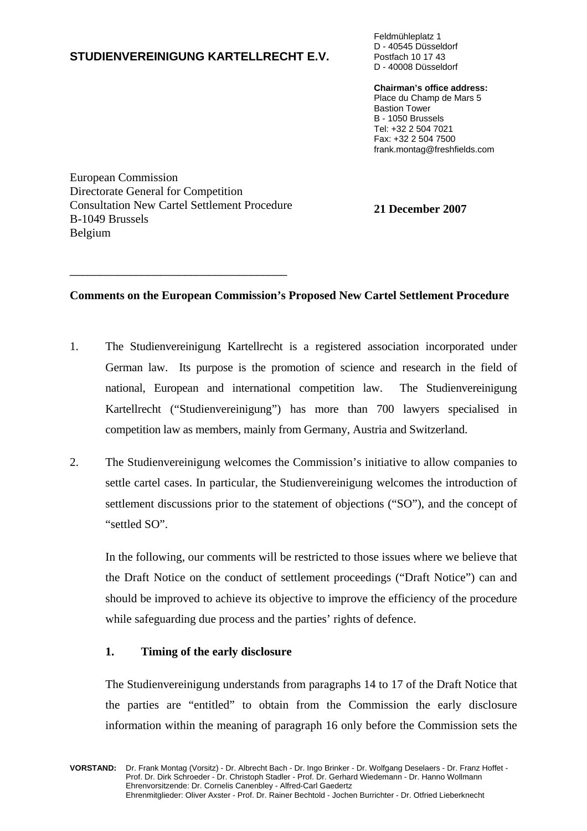## **STUDIENVEREINIGUNG KARTELLRECHT E.V.**

Feldmühleplatz 1 D - 40545 Düsseldorf Postfach 10 17 43 D - 40008 Düsseldorf

**Chairman's office address:**

Place du Champ de Mars 5 Bastion Tower B - 1050 Brussels Tel: +32 2 504 7021 Fax: +32 2 504 7500 frank.montag@freshfields.com

European Commission Directorate General for Competition Consultation New Cartel Settlement Procedure **21 December 2007**  B-1049 Brussels Belgium

\_\_\_\_\_\_\_\_\_\_\_\_\_\_\_\_\_\_\_\_\_\_\_\_\_\_\_\_\_\_\_\_\_\_\_\_

### **Comments on the European Commission's Proposed New Cartel Settlement Procedure**

- 1. The Studienvereinigung Kartellrecht is a registered association incorporated under German law. Its purpose is the promotion of science and research in the field of national, European and international competition law. The Studienvereinigung Kartellrecht ("Studienvereinigung") has more than 700 lawyers specialised in competition law as members, mainly from Germany, Austria and Switzerland.
- 2. The Studienvereinigung welcomes the Commission's initiative to allow companies to settle cartel cases. In particular, the Studienvereinigung welcomes the introduction of settlement discussions prior to the statement of objections ("SO"), and the concept of "settled SO".

In the following, our comments will be restricted to those issues where we believe that the Draft Notice on the conduct of settlement proceedings ("Draft Notice") can and should be improved to achieve its objective to improve the efficiency of the procedure while safeguarding due process and the parties' rights of defence.

### **1. Timing of the early disclosure**

The Studienvereinigung understands from paragraphs 14 to 17 of the Draft Notice that the parties are "entitled" to obtain from the Commission the early disclosure information within the meaning of paragraph 16 only before the Commission sets the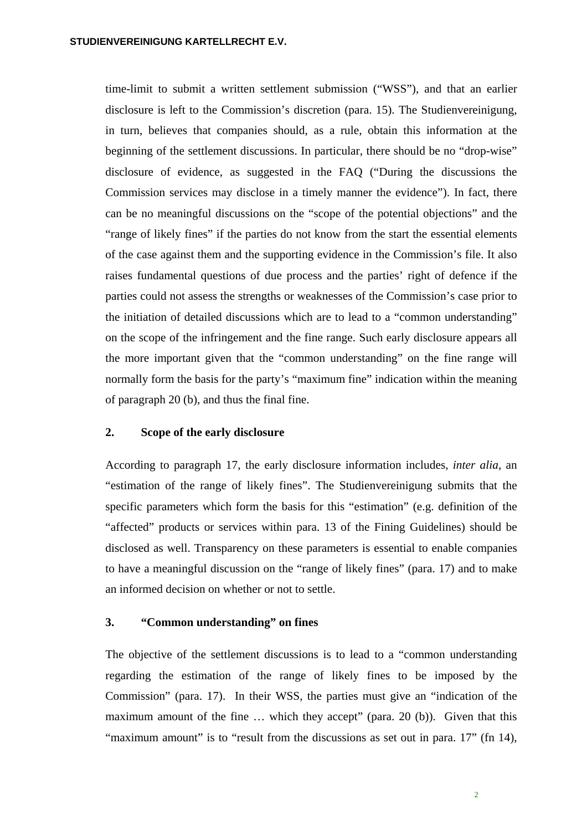time-limit to submit a written settlement submission ("WSS"), and that an earlier disclosure is left to the Commission's discretion (para. 15). The Studienvereinigung, in turn, believes that companies should, as a rule, obtain this information at the beginning of the settlement discussions. In particular, there should be no "drop-wise" disclosure of evidence, as suggested in the FAQ ("During the discussions the Commission services may disclose in a timely manner the evidence"). In fact, there can be no meaningful discussions on the "scope of the potential objections" and the "range of likely fines" if the parties do not know from the start the essential elements of the case against them and the supporting evidence in the Commission's file. It also raises fundamental questions of due process and the parties' right of defence if the parties could not assess the strengths or weaknesses of the Commission's case prior to the initiation of detailed discussions which are to lead to a "common understanding" on the scope of the infringement and the fine range. Such early disclosure appears all the more important given that the "common understanding" on the fine range will normally form the basis for the party's "maximum fine" indication within the meaning of paragraph 20 (b), and thus the final fine.

#### **2. Scope of the early disclosure**

According to paragraph 17, the early disclosure information includes, *inter alia*, an "estimation of the range of likely fines". The Studienvereinigung submits that the specific parameters which form the basis for this "estimation" (e.g. definition of the "affected" products or services within para. 13 of the Fining Guidelines) should be disclosed as well. Transparency on these parameters is essential to enable companies to have a meaningful discussion on the "range of likely fines" (para. 17) and to make an informed decision on whether or not to settle.

### **3. "Common understanding" on fines**

The objective of the settlement discussions is to lead to a "common understanding regarding the estimation of the range of likely fines to be imposed by the Commission" (para. 17). In their WSS, the parties must give an "indication of the maximum amount of the fine ... which they accept" (para. 20 (b)). Given that this "maximum amount" is to "result from the discussions as set out in para. 17" (fn 14),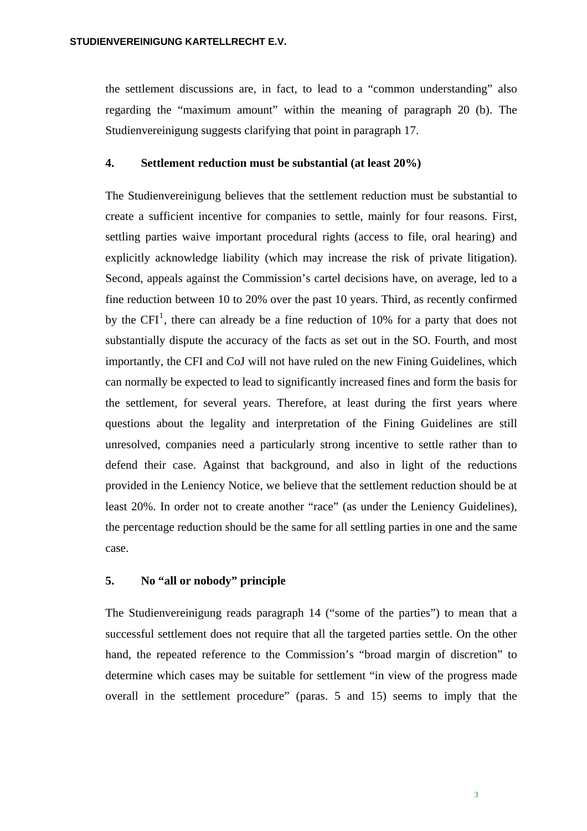the settlement discussions are, in fact, to lead to a "common understanding" also regarding the "maximum amount" within the meaning of paragraph 20 (b). The Studienvereinigung suggests clarifying that point in paragraph 17.

#### **4. Settlement reduction must be substantial (at least 20%)**

The Studienvereinigung believes that the settlement reduction must be substantial to create a sufficient incentive for companies to settle, mainly for four reasons. First, settling parties waive important procedural rights (access to file, oral hearing) and explicitly acknowledge liability (which may increase the risk of private litigation). Second, appeals against the Commission's cartel decisions have, on average, led to a fine reduction between 10 to 20% over the past 10 years. Third, as recently confirmed by the CFI<sup>[1](#page-2-0)</sup>, there can already be a fine reduction of 10% for a party that does not substantially dispute the accuracy of the facts as set out in the SO. Fourth, and most importantly, the CFI and CoJ will not have ruled on the new Fining Guidelines, which can normally be expected to lead to significantly increased fines and form the basis for the settlement, for several years. Therefore, at least during the first years where questions about the legality and interpretation of the Fining Guidelines are still unresolved, companies need a particularly strong incentive to settle rather than to defend their case. Against that background, and also in light of the reductions provided in the Leniency Notice, we believe that the settlement reduction should be at least 20%. In order not to create another "race" (as under the Leniency Guidelines), the percentage reduction should be the same for all settling parties in one and the same case.

### **5. No "all or nobody" principle**

<span id="page-2-0"></span>The Studienvereinigung reads paragraph 14 ("some of the parties") to mean that a successful settlement does not require that all the targeted parties settle. On the other hand, the repeated reference to the Commission's "broad margin of discretion" to determine which cases may be suitable for settlement "in view of the progress made overall in the settlement procedure" (paras. 5 and 15) seems to imply that the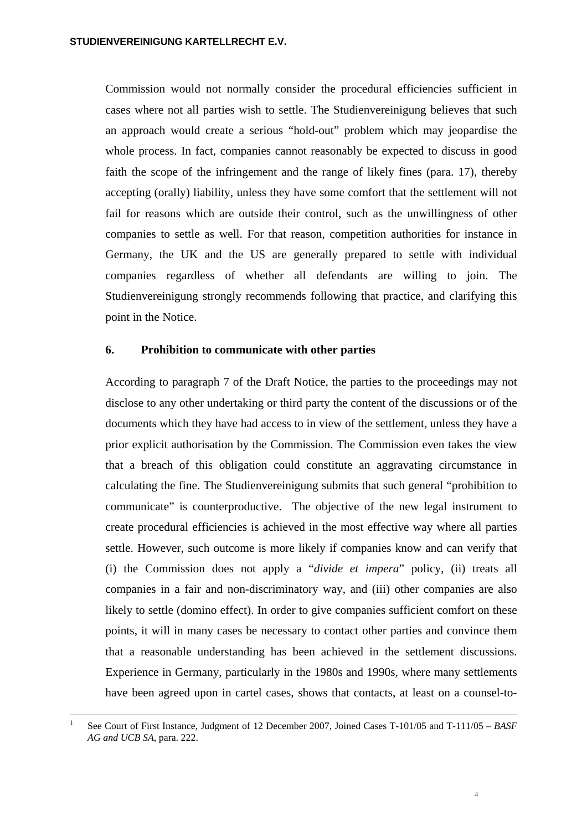Commission would not normally consider the procedural efficiencies sufficient in cases where not all parties wish to settle. The Studienvereinigung believes that such an approach would create a serious "hold-out" problem which may jeopardise the whole process. In fact, companies cannot reasonably be expected to discuss in good faith the scope of the infringement and the range of likely fines (para. 17), thereby accepting (orally) liability, unless they have some comfort that the settlement will not fail for reasons which are outside their control, such as the unwillingness of other companies to settle as well. For that reason, competition authorities for instance in Germany, the UK and the US are generally prepared to settle with individual companies regardless of whether all defendants are willing to join. The Studienvereinigung strongly recommends following that practice, and clarifying this point in the Notice.

#### **6. Prohibition to communicate with other parties**

According to paragraph 7 of the Draft Notice, the parties to the proceedings may not disclose to any other undertaking or third party the content of the discussions or of the documents which they have had access to in view of the settlement, unless they have a prior explicit authorisation by the Commission. The Commission even takes the view that a breach of this obligation could constitute an aggravating circumstance in calculating the fine. The Studienvereinigung submits that such general "prohibition to communicate" is counterproductive. The objective of the new legal instrument to create procedural efficiencies is achieved in the most effective way where all parties settle. However, such outcome is more likely if companies know and can verify that (i) the Commission does not apply a "*divide et impera*" policy, (ii) treats all companies in a fair and non-discriminatory way, and (iii) other companies are also likely to settle (domino effect). In order to give companies sufficient comfort on these points, it will in many cases be necessary to contact other parties and convince them that a reasonable understanding has been achieved in the settlement discussions. Experience in Germany, particularly in the 1980s and 1990s, where many settlements have been agreed upon in cartel cases, shows that contacts, at least on a counsel-to-

1

<sup>1</sup> See Court of First Instance, Judgment of 12 December 2007, Joined Cases T-101/05 and T-111/05 – *BASF AG and UCB SA*, para. 222.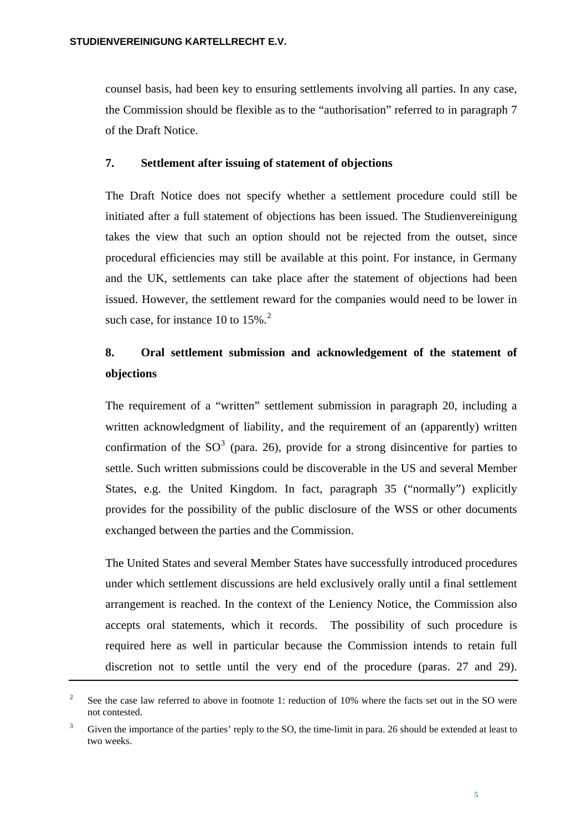<span id="page-4-0"></span>counsel basis, had been key to ensuring settlements involving all parties. In any case, the Commission should be flexible as to the "authorisation" referred to in paragraph 7 of the Draft Notice.

### **7. Settlement after issuing of statement of objections**

The Draft Notice does not specify whether a settlement procedure could still be initiated after a full statement of objections has been issued. The Studienvereinigung takes the view that such an option should not be rejected from the outset, since procedural efficiencies may still be available at this point. For instance, in Germany and the UK, settlements can take place after the statement of objections had been issued. However, the settlement reward for the companies would need to be lower in such case, for instance 10 to  $15\%$ .<sup>[2](#page-4-0)</sup>

# **8. Oral settlement submission and acknowledgement of the statement of objections**

The requirement of a "written" settlement submission in paragraph 20, including a written acknowledgment of liability, and the requirement of an (apparently) written confirmation of the  $SO<sup>3</sup>$  $SO<sup>3</sup>$  $SO<sup>3</sup>$  (para. 26), provide for a strong disincentive for parties to settle. Such written submissions could be discoverable in the US and several Member States, e.g. the United Kingdom. In fact, paragraph 35 ("normally") explicitly provides for the possibility of the public disclosure of the WSS or other documents exchanged between the parties and the Commission.

The United States and several Member States have successfully introduced procedures under which settlement discussions are held exclusively orally until a final settlement arrangement is reached. In the context of the Leniency Notice, the Commission also accepts oral statements, which it records. The possibility of such procedure is required here as well in particular because the Commission intends to retain full discretion not to settle until the very end of the procedure (paras. 27 and 29).

 2 See the case law referred to above in footnote 1: reduction of 10% where the facts set out in the SO were not contested.

<span id="page-4-1"></span><sup>3</sup> Given the importance of the parties' reply to the SO, the time-limit in para. 26 should be extended at least to two weeks.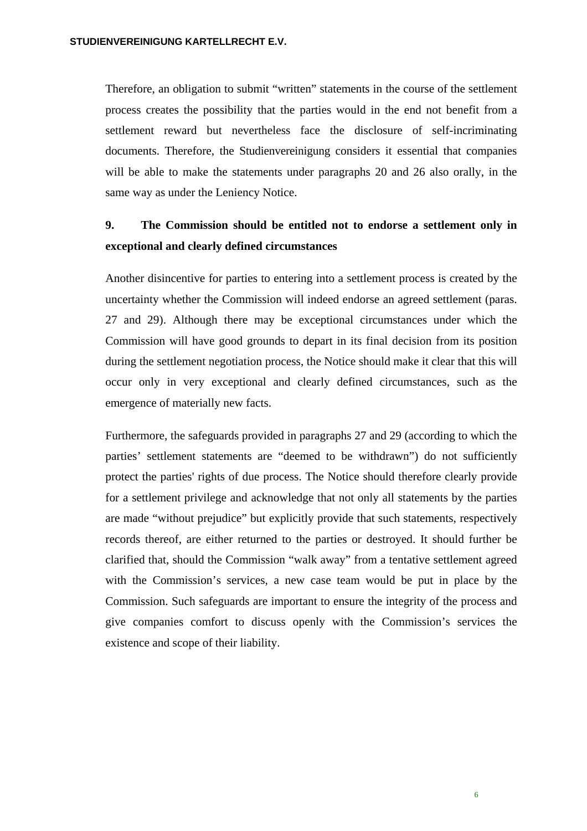Therefore, an obligation to submit "written" statements in the course of the settlement process creates the possibility that the parties would in the end not benefit from a settlement reward but nevertheless face the disclosure of self-incriminating documents. Therefore, the Studienvereinigung considers it essential that companies will be able to make the statements under paragraphs 20 and 26 also orally, in the same way as under the Leniency Notice.

# **9. The Commission should be entitled not to endorse a settlement only in exceptional and clearly defined circumstances**

Another disincentive for parties to entering into a settlement process is created by the uncertainty whether the Commission will indeed endorse an agreed settlement (paras. 27 and 29). Although there may be exceptional circumstances under which the Commission will have good grounds to depart in its final decision from its position during the settlement negotiation process, the Notice should make it clear that this will occur only in very exceptional and clearly defined circumstances, such as the emergence of materially new facts.

Furthermore, the safeguards provided in paragraphs 27 and 29 (according to which the parties' settlement statements are "deemed to be withdrawn") do not sufficiently protect the parties' rights of due process. The Notice should therefore clearly provide for a settlement privilege and acknowledge that not only all statements by the parties are made "without prejudice" but explicitly provide that such statements, respectively records thereof, are either returned to the parties or destroyed. It should further be clarified that, should the Commission "walk away" from a tentative settlement agreed with the Commission's services, a new case team would be put in place by the Commission. Such safeguards are important to ensure the integrity of the process and give companies comfort to discuss openly with the Commission's services the existence and scope of their liability.